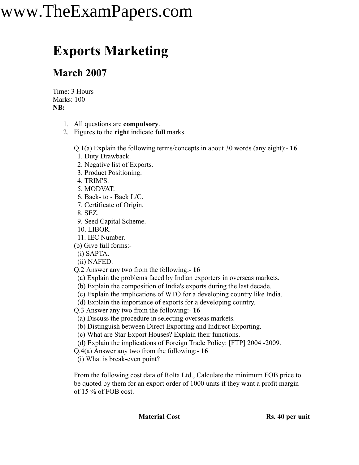## www.TheExamPapers.com

## **Exports Marketing**

## **March 2007**

Time: 3 Hours Marks: 100 **NB:**

- 1. All questions are **compulsory**.
- 2. Figures to the **right** indicate **full** marks.

Q.1(a) Explain the following terms/concepts in about 30 words (any eight):- **16**

- 1. Duty Drawback.
- 2. Negative list of Exports.
- 3. Product Positioning.
- 4. TRIM'S.
- 5. MODVAT.
- 6. Back- to Back L/C.
- 7. Certificate of Origin.
- 8. SEZ.
- 9. Seed Capital Scheme.
- 10. LIBOR.
- 11. IEC Number.
- (b) Give full forms:-
- (i) SAPTA.
- (ii) NAFED.
- Q.2 Answer any two from the following:- **16**
- (a) Explain the problems faced by Indian exporters in overseas markets.
- (b) Explain the composition of India's exports during the last decade.
- (c) Explain the implications of WTO for a developing country like India.
- (d) Explain the importance of exports for a developing country.
- Q.3 Answer any two from the following:- **16**
- (a) Discuss the procedure in selecting overseas markets.
- (b) Distinguish between Direct Exporting and Indirect Exporting.
- (c) What are Star Export Houses? Explain their functions.
- (d) Explain the implications of Foreign Trade Policy: [FTP] 2004 -2009.
- Q.4(a) Answer any two from the following:- **16**
- (i) What is break-even point?

From the following cost data of Rolta Ltd., Calculate the minimum FOB price to be quoted by them for an export order of 1000 units if they want a profit margin of 15 % of FOB cost.